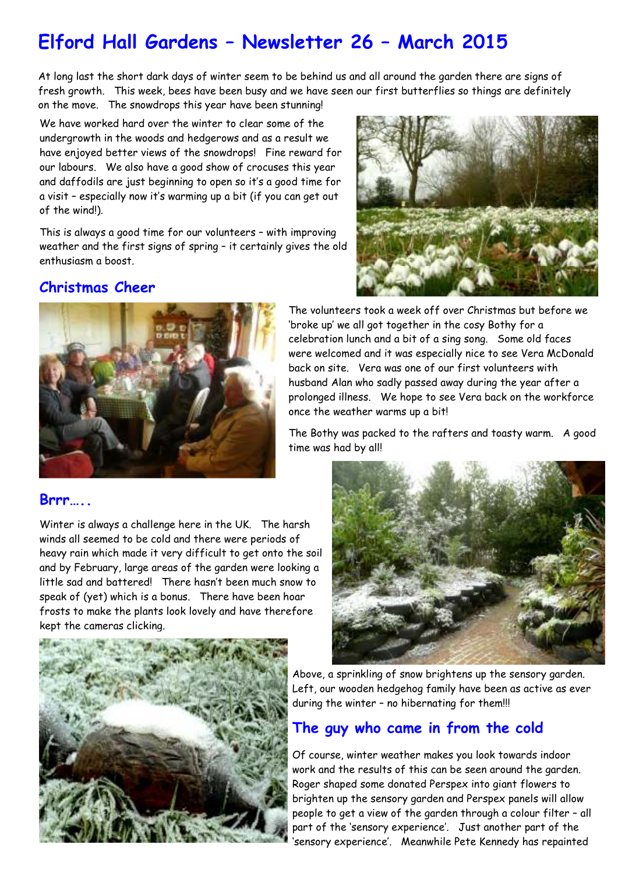# **Elford Hall Gardens – Newsletter 26 – March 2015**

At long last the short dark days of winter seem to be behind us and all around the garden there are signs of fresh growth. This week, bees have been busy and we have seen our first butterflies so things are definitely on the move. The snowdrops this year have been stunning!

We have worked hard over the winter to clear some of the undergrowth in the woods and hedgerows and as a result we have enjoyed better views of the snowdrops! Fine reward for our labours. We also have a good show of crocuses this year and daffodils are just beginning to open so it's a good time for a visit – especially now it's warming up a bit (if you can get out of the wind!).

This is always a good time for our volunteers – with improving weather and the first signs of spring – it certainly gives the old enthusiasm a boost.



#### **Christmas Cheer**





#### **Brrr…..**

Winter is always a challenge here in the UK. The harsh winds all seemed to be cold and there were periods of heavy rain which made it very difficult to get onto the soil and by February, large areas of the garden were looking a little sad and battered! There hasn't been much snow to speak of (yet) which is a bonus. There have been hoar frosts to make the plants look lovely and have therefore kept the cameras clicking.

The volunteers took a week off over Christmas but before we 'broke up' we all got together in the cosy Bothy for a celebration lunch and a bit of a sing song. Some old faces were welcomed and it was especially nice to see Vera McDonald back on site. Vera was one of our first volunteers with husband Alan who sadly passed away during the year after a prolonged illness. We hope to see Vera back on the workforce once the weather warms up a bit!

The Bothy was packed to the rafters and toasty warm. A good time was had by all!





Above, a sprinkling of snow brightens up the sensory garden. Left, our wooden hedgehog family have been as active as ever during the winter – no hibernating for them!!!

### **The guy who came in from the cold**

Of course, winter weather makes you look towards indoor work and the results of this can be seen around the garden. Roger shaped some donated Perspex into giant flowers to brighten up the sensory garden and Perspex panels will allow people to get a view of the garden through a colour filter – all part of the 'sensory experience'. Just another part of the 'sensory experience'. Meanwhile Pete Kennedy has repainted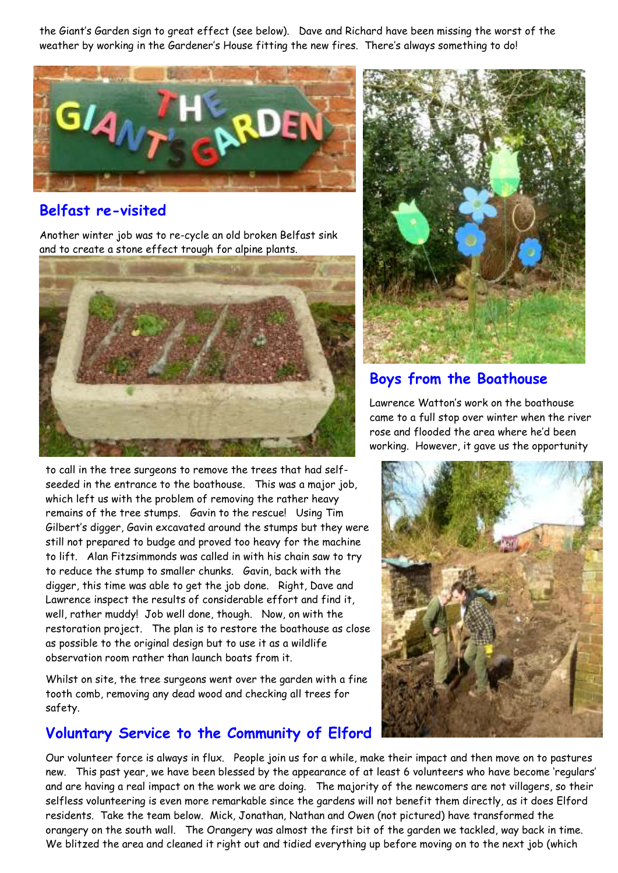the Giant's Garden sign to great effect (see below). Dave and Richard have been missing the worst of the weather by working in the Gardener's House fitting the new fires. There's always something to do!



#### **Belfast re-visited**

Another winter job was to re-cycle an old broken Belfast sink and to create a stone effect trough for alpine plants.



to call in the tree surgeons to remove the trees that had selfseeded in the entrance to the boathouse. This was a major job, which left us with the problem of removing the rather heavy remains of the tree stumps. Gavin to the rescue! Using Tim Gilbert's digger, Gavin excavated around the stumps but they were still not prepared to budge and proved too heavy for the machine to lift. Alan Fitzsimmonds was called in with his chain saw to try to reduce the stump to smaller chunks. Gavin, back with the digger, this time was able to get the job done. Right, Dave and Lawrence inspect the results of considerable effort and find it, well, rather muddy! Job well done, though. Now, on with the restoration project. The plan is to restore the boathouse as close as possible to the original design but to use it as a wildlife observation room rather than launch boats from it.

Whilst on site, the tree surgeons went over the garden with a fine tooth comb, removing any dead wood and checking all trees for safety.

#### **Voluntary Service to the Community of Elford**

Our volunteer force is always in flux. People join us for a while, make their impact and then move on to pastures new. This past year, we have been blessed by the appearance of at least 6 volunteers who have become 'regulars' and are having a real impact on the work we are doing. The majority of the newcomers are not villagers, so their selfless volunteering is even more remarkable since the gardens will not benefit them directly, as it does Elford residents. Take the team below. Mick, Jonathan, Nathan and Owen (not pictured) have transformed the orangery on the south wall. The Orangery was almost the first bit of the garden we tackled, way back in time. We blitzed the area and cleaned it right out and tidied everything up before moving on to the next job (which



#### **Boys from the Boathouse**

Lawrence Watton's work on the boathouse came to a full stop over winter when the river rose and flooded the area where he'd been working. However, it gave us the opportunity